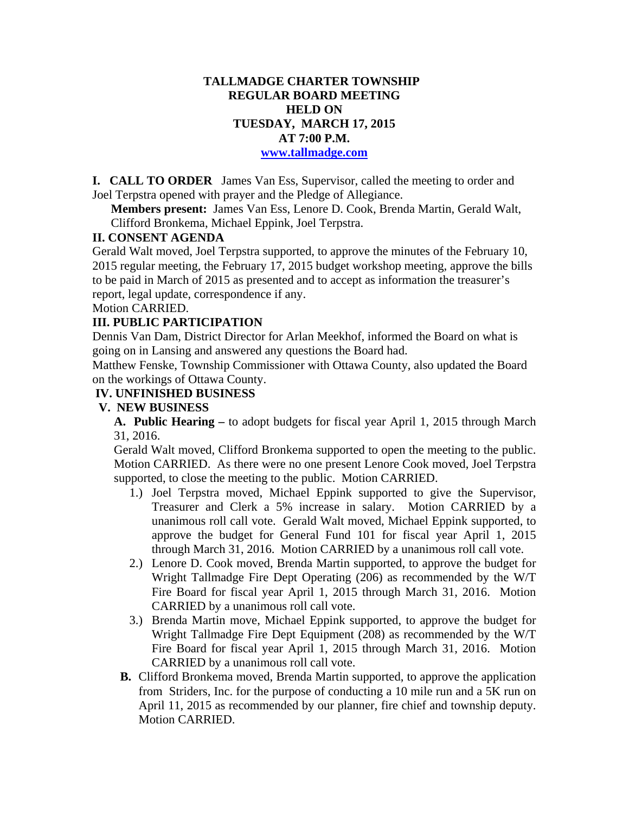## **TALLMADGE CHARTER TOWNSHIP REGULAR BOARD MEETING HELD ON TUESDAY, MARCH 17, 2015 AT 7:00 P.M.**

#### **www.tallmadge.com**

**I. CALL TO ORDER** James Van Ess, Supervisor, called the meeting to order and Joel Terpstra opened with prayer and the Pledge of Allegiance.

**Members present:** James Van Ess, Lenore D. Cook, Brenda Martin, Gerald Walt, Clifford Bronkema, Michael Eppink, Joel Terpstra.

## **II. CONSENT AGENDA**

Gerald Walt moved, Joel Terpstra supported, to approve the minutes of the February 10, 2015 regular meeting, the February 17, 2015 budget workshop meeting, approve the bills to be paid in March of 2015 as presented and to accept as information the treasurer's report, legal update, correspondence if any.

Motion CARRIED.

#### **III. PUBLIC PARTICIPATION**

Dennis Van Dam, District Director for Arlan Meekhof, informed the Board on what is going on in Lansing and answered any questions the Board had.

Matthew Fenske, Township Commissioner with Ottawa County, also updated the Board on the workings of Ottawa County.

#### **IV. UNFINISHED BUSINESS**

### **V. NEW BUSINESS**

**A. Public Hearing –** to adopt budgets for fiscal year April 1, 2015 through March 31, 2016.

Gerald Walt moved, Clifford Bronkema supported to open the meeting to the public. Motion CARRIED. As there were no one present Lenore Cook moved, Joel Terpstra supported, to close the meeting to the public. Motion CARRIED.

- 1.) Joel Terpstra moved, Michael Eppink supported to give the Supervisor, Treasurer and Clerk a 5% increase in salary. Motion CARRIED by a unanimous roll call vote. Gerald Walt moved, Michael Eppink supported, to approve the budget for General Fund 101 for fiscal year April 1, 2015 through March 31, 2016. Motion CARRIED by a unanimous roll call vote.
- 2.) Lenore D. Cook moved, Brenda Martin supported, to approve the budget for Wright Tallmadge Fire Dept Operating (206) as recommended by the W/T Fire Board for fiscal year April 1, 2015 through March 31, 2016. Motion CARRIED by a unanimous roll call vote.
- 3.) Brenda Martin move, Michael Eppink supported, to approve the budget for Wright Tallmadge Fire Dept Equipment (208) as recommended by the W/T Fire Board for fiscal year April 1, 2015 through March 31, 2016. Motion CARRIED by a unanimous roll call vote.
- **B.** Clifford Bronkema moved, Brenda Martin supported, to approve the application from Striders, Inc. for the purpose of conducting a 10 mile run and a 5K run on April 11, 2015 as recommended by our planner, fire chief and township deputy. Motion CARRIED.